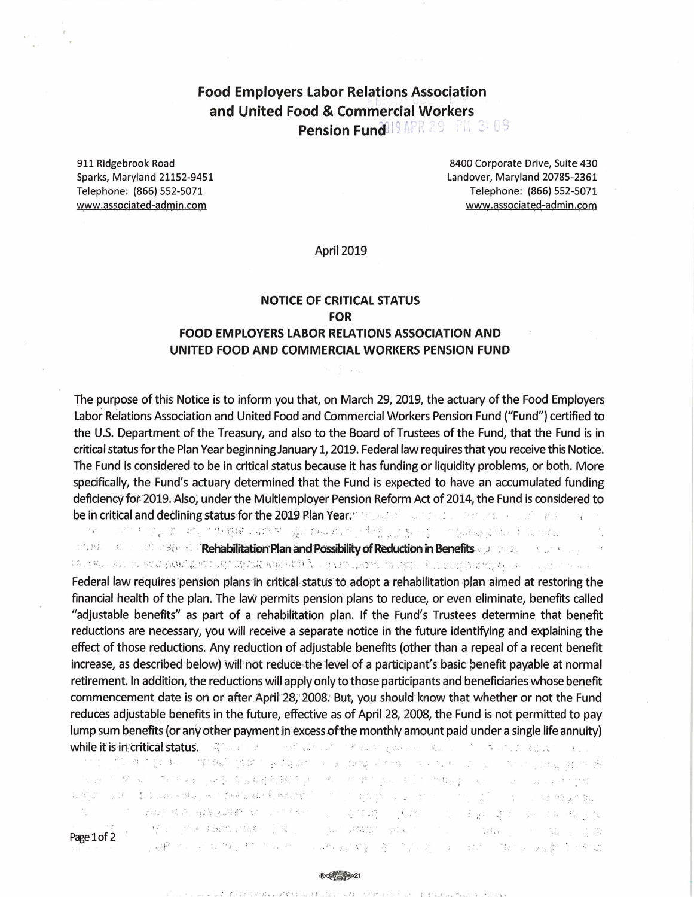# **Food Employers Labor Relations Association** and United Food & Commercial Workers Pension Fund<sup>019</sup> APR 29 PK 3:09

911 Ridgebrook Road Sparks, Maryland 21152-9451 Telephone: (866) 552-5071 www.associated-admin.com

8400 Corporate Drive, Suite 430 Landover, Maryland 20785-2361 Telephone: (866) 552-5071 www.associated-admin.com

**April 2019** 

### **NOTICE OF CRITICAL STATUS FOR FOOD EMPLOYERS LABOR RELATIONS ASSOCIATION AND** UNITED FOOD AND COMMERCIAL WORKERS PENSION FUND

The purpose of this Notice is to inform you that, on March 29, 2019, the actuary of the Food Employers Labor Relations Association and United Food and Commercial Workers Pension Fund ("Fund") certified to the U.S. Department of the Treasury, and also to the Board of Trustees of the Fund, that the Fund is in critical status for the Plan Year beginning January 1, 2019. Federal law requires that you receive this Notice. The Fund is considered to be in critical status because it has funding or liquidity problems, or both. More specifically, the Fund's actuary determined that the Fund is expected to have an accumulated funding deficiency for 2019. Also, under the Multiemployer Pension Reform Act of 2014, the Fund is considered to be in critical and declining status for the 2019 Plan Year: 800 Automobile and the contract of the contract of

 $\mathcal{F}_{\mathcal{D}}^{\mathcal{F}}$ "这个大学会第一项,一些国际学习做学、最大的设施,而他进步了基础的一个最高级最大的考虑与它的 and the contract of the Constantine ("Rehabilitation Plan and Possibility of Reduction in Benefits with the constantine of the const

secretives to accelerate the problems with your finance is defined to be disk of the contraction of the state of

Federal law requires pension plans in critical status to adopt a rehabilitation plan aimed at restoring the financial health of the plan. The law permits pension plans to reduce, or even eliminate, benefits called adjustable benefits" as part of a rehabilitation plan. If the Fund's Trustees determine that benefit" reductions are necessary, you will receive a separate notice in the future identifying and explaining the effect of those reductions. Any reduction of adjustable benefits (other than a repeal of a recent benefit increase, as described below) will not reduce the level of a participant's basic benefit payable at normal retirement. In addition, the reductions will apply only to those participants and beneficiaries whose benefit commencement date is on or after April 28, 2008. But, you should know that whether or not the Fund reduces adjustable benefits in the future, effective as of April 28, 2008, the Fund is not permitted to pay lump sum benefits (or any other payment in excess of the monthly amount paid under a single life annuity) while it is in critical status. After the local contribution of the status of the contribution

**A STORE REAL REAL** " TV 难了服? 机 一 "第1942年"路第二字588 APC 计 医 Joang 是不做", 经 NE NE TV 的 Linux google. 游戏 病 in an internet of the property of the state of the property of the property of the property of the state of the property of the state of the state of the state of the state of the state of the state of the state of the st s gyn i lan i bolska krea je noprečjene švedenom i nori opolje opila od nori i mojo od i i od norodno dal ここの女性の、女性は母親ののことにもない。 いっちじゅう けいど and you did not control in M. C. C. P. P. P. P. P. L. C. C. P. C.  $\left\langle \mathrm{Le}^{\prime} \mathrm{Ad} \mathrm{Alg}^{\prime} \right\rangle = \left\langle \mathrm{Va}^{\prime} \mathrm{Se}^{\prime} \right\rangle = \left\langle \mathrm{Le}^{\prime} \mathrm{Va}^{\prime} \mathrm{Se}^{\prime} \right\rangle = \left\langle \mathrm{Le}^{\prime} \mathrm{Se}^{\prime} \right\rangle = \left\langle \mathrm{Le}^{\prime} \mathrm{Se}^{\prime} \right\rangle = \left\langle \mathrm{Le}^{\prime} \mathrm{Se}^{\prime} \mathrm{Se}^{\prime} \right\rangle$ Page 1 of 2 「地震」というためには、400mm以上の「この形式の場」を見ていた。 アルクリー はいちょうほう いわば